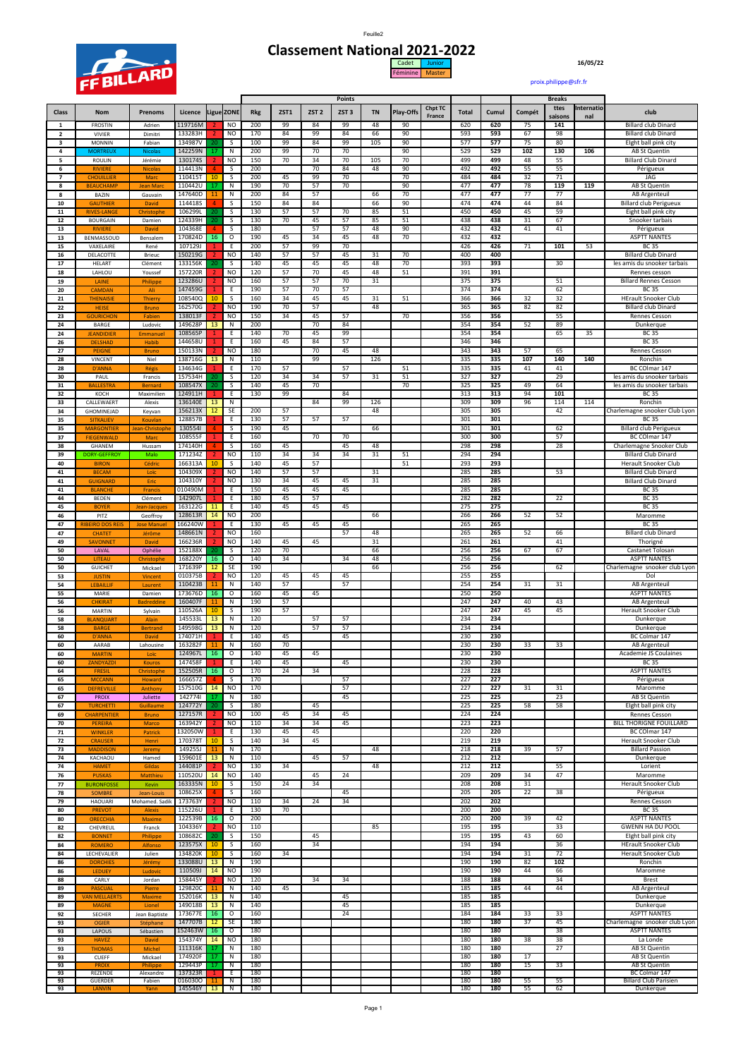

## **Classement National 2021-2022** Cadet Junior **16/05/22** Féminine Master

[proix.philippe@sfr.fr](mailto:proix.philippe@sfr.fr)

|                     |                                     |                          |                    |                |                              |            |          |                  | Points           |           |                  |                   |              |            |          | <b>Breaks</b>   |                   |                                                        |
|---------------------|-------------------------------------|--------------------------|--------------------|----------------|------------------------------|------------|----------|------------------|------------------|-----------|------------------|-------------------|--------------|------------|----------|-----------------|-------------------|--------------------------------------------------------|
| Class               | Nom                                 | <b>Prenoms</b>           | Licence            |                | Ligue ZONE                   | <b>Rkg</b> | ZST1     | ZST <sub>2</sub> | ZST <sub>3</sub> | <b>TN</b> | <b>Play-Offs</b> | Chpt TC<br>France | <b>Total</b> | Cumul      | Compét   | ttes<br>saisons | Internatio<br>nal | club                                                   |
| $\mathbf{1}$        | <b>FROSTIN</b>                      | Adrien                   | 119716M            |                | NO                           | 200        | 99       | 84               | 99               | 48        | 90               |                   | 620          | 620        | 75       | 141             |                   | <b>Billard club Dinard</b>                             |
| $\overline{2}$      | <b>VIVIER</b>                       | Dimitri                  | 133283H            |                | N <sub>O</sub>               | 170        | 84       | 99               | 84               | 66        | 90               |                   | 593          | 593        | 67       | 98              |                   | <b>Billard club Dinard</b>                             |
| 3                   | <b>MONNIN</b>                       | Fabian                   | 134987V            | 20             | S                            | 100        | 99       | 84               | 99               | 105       | 90               |                   | 577          | 577        | 75       | 80              |                   | Eight ball pink city                                   |
| 4                   | <b>MORTREU</b>                      | Nicolas                  | 142259N            | 17             | N                            | 200        | 99       | 70               | 70               |           | 90               |                   | 529          | 529        | 102      | 130             | 106               | AB St Quentin                                          |
| 5                   | ROULIN                              | Jérémie                  | 130174S            |                | N <sub>O</sub>               | 150        | 70       | 34               | 70<br>84         | 105       | 70<br>90         |                   | 499<br>492   | 499        | 48       | 55              |                   | <b>Billard Club Dinard</b>                             |
| 6<br>$\overline{z}$ | <b>RIVIERE</b><br><b>CHOUILLIFR</b> | Nicola<br>Maro           | 114413N<br>110415T | 4<br>10        | S<br>S                       | 200<br>200 | 45       | 70<br>99         | 70               | 48        | 70               |                   | 484          | 492<br>484 | 55<br>32 | 55<br>71        |                   | Périgueux<br>JAG                                       |
| 8                   | <b>BEAUCHAMP</b>                    | <b>Jean Mare</b>         | 110442U            | 17             | N                            | 190        | 70       | 57               | 70               |           | 90               |                   | 477          | 477        | 78       | 119             | 119               | AB St Quentin                                          |
| 8                   | BAZIN                               | Gauvain                  | 147640D            | 11             | $\overline{\mathsf{N}}$      | 200        | 84       | 57               |                  | 66        | 70               |                   | 477          | 477        | 77       | 77              |                   | <b>AB</b> Argenteuil                                   |
| 10                  | <b>GAUTHIFR</b>                     | David                    | 1144185            | $\overline{a}$ | S                            | 150        | 84       | 84               |                  | 66        | 90               |                   | 474          | 474        | 44       | 84              |                   | <b>Billard club Perigueux</b>                          |
| ${\bf 11}$          | <b>RIVES-LANGI</b>                  | Christophe               | 106299L<br>124339H | 20             | s                            | 130        | 57       | 57               | 70               | 85        | 51               |                   | 450          | 450        | 45       | 59              |                   | Eight ball pink city                                   |
| 12<br>13            | <b>BOURGAIN</b><br><b>RIVIER</b>    | Damien<br>David          | 104368E            | 20             | $\overline{\mathsf{s}}$<br>S | 130<br>180 | 70       | 45<br>57         | 57<br>57         | 85<br>48  | 51<br>90         |                   | 438<br>432   | 438<br>432 | 31<br>41 | 67<br>41        |                   | Snooker tarbais<br>Périgueux                           |
| 13                  | BENMASSOUD                          | Bensalem                 | 170824D            | 16             | $\circ$                      | 190        | 45       | 34               | 45               | 48        | 70               |                   | 432          | 432        |          |                 |                   | <b>ASPTT NANTES</b>                                    |
| 15                  | VAXELAIRE                           | René                     | 107129J            |                | Ε                            | 200        | 57       | 99               | 70               |           |                  |                   | 426          | 426        | 71       | 101             | 53                | <b>BC 35</b>                                           |
| 16                  | DELACOTTE                           | Brieuc                   | 150219G            |                | <b>NO</b>                    | 140        | 57       | 57               | 45               | 31        | 70               |                   | 400          | 400        |          |                 |                   | <b>Billard Club Dinard</b>                             |
| 17                  | HELART                              | Clément                  | 133156K            | 20             | S                            | 140        | 45       | 45               | 45               | 48        | 70               |                   | 393          | 393        |          | 30              |                   | les amis du snooker tarbais                            |
| 18                  | LAHLOU                              | Youssef                  | 157220R            |                | NO                           | 120        | 57       | 70               | 45               | 48        | 51               |                   | 391          | 391        |          |                 |                   | Rennes cesson                                          |
| 19<br>20            | LAINE<br><b>CAMDAN</b>              | Philippe<br>Ali          | 123286U<br>147459G |                | NO<br>Ε                      | 160<br>190 | 57<br>57 | 57<br>70         | 70<br>57         | 31        |                  |                   | 375<br>374   | 375<br>374 |          | 51<br>62        |                   | <b>Billard Rennes Cesson</b><br><b>BC 35</b>           |
| 21                  | <b>THENAISIE</b>                    | <b>Thierry</b>           | 108540Q            | 10             | s                            | 160        | 34       | 45               | 45               | 31        | 51               |                   | 366          | 366        | 32       | 32              |                   | <b>HErault Snooker Club</b>                            |
| 22                  | <b>HEISE</b>                        | <b>Bruno</b>             | 162570G            |                | NO                           | 190        | 70       | 57               |                  | 48        |                  |                   | 365          | 365        | 82       | 82              |                   | <b>Billard club Dinard</b>                             |
| 23                  | <b>GOURICHON</b>                    | Fabien                   | 138013F            |                | NO                           | 150        | 34       | 45               | 57               |           | 70               |                   | 356          | 356        |          | 55              |                   | Rennes Cesson                                          |
| 24                  | BARGE                               | Ludovic                  | 149628P            | 13             | N                            | 200        |          | 70               | 84               |           |                  |                   | 354          | 354        | 52       | 89              |                   | Dunkerque                                              |
| 24<br>26            | <b>JEANDIDIEF</b><br><b>DELSHAD</b> | <b>Emmanue</b><br>Habib  | 108565P<br>144658U |                | Ε<br>Ε                       | 140<br>160 | 70<br>45 | 45<br>84         | 99<br>57         |           |                  |                   | 354<br>346   | 354<br>346 |          | 65              | 35                | <b>BC 35</b><br><b>BC 35</b>                           |
| 27                  | PEIGNE                              | <b>Brund</b>             | 150133N            |                | NO                           | 180        |          | 70               | 45               | 48        |                  |                   | 343          | 343        | 57       | 65              |                   | Rennes Cesson                                          |
| 28                  | VINCENT                             | Niel                     | 138716G            | 13             | N                            | 110        |          | 99               |                  | 126       |                  |                   | 335          | 335        | 107      | 140             | 140               | Ronchin                                                |
| 28                  | D'ANNA                              | Régi                     | 134634G            | 1              | Ε                            | 170        | 57       |                  | 57               |           | 51               |                   | 335          | 335        | 41       | 41              |                   | BC COlmar 147                                          |
| 30                  | PAUL                                | Francis                  | 157534H            | 20             | s                            | 120        | 34       | 34               | 57               | 31        | 51               |                   | 327          | 327        |          | 29              |                   | les amis du snooker tarbais                            |
| 31                  | <b>BALLESTR</b>                     | <b>Bernard</b>           | 108547X            | 20             | $\overline{\mathsf{S}}$<br>Ε | 140<br>130 | 45       | 70               | 84               |           | 70               |                   | 325<br>313   | 325<br>313 | 49<br>94 | 64<br>101       |                   | les amis du snooker tarbais                            |
| 32<br>33            | KOCH<br>CALLEWAERT                  | Maximilien<br>Alexis     | 124911H<br>136140E | 13             | N                            |            | 99       | 84               | 99               | 126       |                  |                   | 309          | 309        | 96       | 114             | 114               | <b>BC 35</b><br>Ronchin                                |
| 34                  | GHOMINEJAD                          | Keyvan                   | 156213X            | 12             | SE                           | 200        | 57       |                  |                  | 48        |                  |                   | 305          | 305        |          | 42              |                   | Charlemagne snooker Club Lyon                          |
| 35                  | <b>SITKALIEY</b>                    | Kouvlan                  | 128857B            |                | Ε                            | 130        | 57       | 57               | 57               |           |                  |                   | 301          | 301        |          |                 |                   | <b>BC 35</b>                                           |
| 35                  | <b>MARGONTIER</b>                   | Jean-Christoph           | 1305541            | 4              | s                            | 190        | 45       |                  |                  | 66        |                  |                   | 301          | 301        |          | 62              |                   | <b>Billard club Perigueux</b>                          |
| 37                  | <b>FIEGENWALD</b>                   | Maro                     | 108555F            | $\overline{1}$ | Ε                            | 160        |          | 70               | 70               |           |                  |                   | 300          | 300        |          | 57              |                   | BC COlmar 147                                          |
| 38<br>39            | GHANEM<br>DORY-GEFFROY              | Hussam<br>Malo           | 174140H<br>171234Z | 4              | s<br>NO                      | 160<br>110 | 45<br>34 | 34               | 45<br>34         | 48<br>31  | 51               |                   | 298<br>294   | 298<br>294 |          | 28              |                   | Charlemagne Snooker Club<br><b>Billard Club Dinard</b> |
| 40                  | <b>BIRON</b>                        | Cédri                    | 166313A            | 10             | S                            | 140        | 45       | 57               |                  |           | 51               |                   | 293          | 293        |          |                 |                   | Herault Snooker Club                                   |
| 41                  | <b>BECAM</b>                        | Loïd                     | 104309X            |                | NO.                          | 140        | 57       | 57               |                  | 31        |                  |                   | 285          | 285        |          | 53              |                   | <b>Billard Club Dinard</b>                             |
| 41                  | <b>GUIGNARD</b>                     | Eric                     | 104310Y            |                | NO                           | 130        | 34       | 45               | 45               | 31        |                  |                   | 285          | 285        |          |                 |                   | <b>Billard Club Dinard</b>                             |
| 41                  | <b>BLANCHE</b>                      | Francis                  | 010490M            | $\mathbf{1}$   | Ε                            | 150        | 45       | 45               | 45               |           |                  |                   | 285          | 285        |          |                 |                   | <b>BC 35</b>                                           |
| 44                  | <b>BEDEN</b>                        | Clément                  | 142907L            | $\mathbf{1}$   | Ε                            | 180        | 45       | 57               |                  |           |                  |                   | 282          | 282        |          | 22              |                   | <b>BC 35</b>                                           |
| 45<br>46            | <b>BOYER</b><br>PITZ                | Jean-Jacque:<br>Geoffroy | 163122G<br>128613R | 11<br>14       | Ε<br>NO                      | 140<br>200 | 45       | 45               | 45               | 66        |                  |                   | 275<br>266   | 275<br>266 | 52       | 52              |                   | <b>BC 35</b><br>Maromme                                |
| 47                  | <b>RIBEIRO DOS REIS</b>             | <b>Jose Manuel</b>       | 166240W            |                | Ε                            | 130        | 45       | 45               | 45               |           |                  |                   | 265          | 265        |          |                 |                   | <b>BC 35</b>                                           |
| 47                  | <b>CHATET</b>                       | Jérôme                   | 148661N            |                | NO                           | 160        |          |                  | 57               | 48        |                  |                   | 265          | 265        | 52       | 66              |                   | <b>Billard club Dinard</b>                             |
| 49                  | <b>SAVONNE</b>                      | David                    | 166236R            |                | NO                           | 140        | 45       | 45               |                  | 31        |                  |                   | 261          | 261        |          | 41              |                   | Thorigné                                               |
| 50                  | LAVAL                               | Ophélie                  | 152188X            | 20             | S                            | 120        | 70       |                  |                  | 66        |                  |                   | 256          | 256        | 67       | 67              |                   | Castanet Tolosan                                       |
| 50<br>50            | LITEAU<br><b>GUICHET</b>            | Christophe<br>Mickael    | 168220Y<br>171639P | 16<br>12       | O<br>SE                      | 140<br>190 | 34       |                  | 34               | 48<br>66  |                  |                   | 256<br>256   | 256<br>256 |          | 62              |                   | <b>ASPTT NANTES</b><br>Charlemagne snooker club Lyon   |
| 53                  | <b>JUSTIN</b>                       | Vincent                  | 010375B            |                | NO                           | 120        | 45       | 45               | 45               |           |                  |                   | 255          | 255        |          |                 |                   | Dol                                                    |
| 54                  | LEBAILLIF                           | Laurent                  | 110423B            | 11             | ${\sf N}$                    | 140        | 57       |                  | 57               |           |                  |                   | 254          | 254        | 31       | 31              |                   | AB Argenteuil                                          |
| 55                  | MARIE                               | Damien                   | 173676D            | 16             | 0                            | 160        | 45       | 45               |                  |           |                  |                   | 250          | 250        |          |                 |                   | <b>ASPTT NANTES</b>                                    |
| 56                  | <b>CHKIRAT</b>                      | <b>Badreddine</b>        | 160407F            | 11             | N                            | 190        | 57       |                  |                  |           |                  |                   | 247          | 247        | 40       | 43              |                   | AB Argenteuil                                          |
| 56<br>58            | <b>MARTIN</b><br><b>BLANQUAR</b>    | Sylvain<br>Alair         | 110526A<br>145533L | 10<br>13       | S<br>N                       | 190<br>120 | 57       | 57               | 57               |           |                  |                   | 247<br>234   | 247<br>234 | 45       | 45              |                   | Herault Snooker Club<br>Dunkerque                      |
| 58                  | <b>BARGE</b>                        | <b>Bertrand</b>          | 149598G            | 13             | N                            | 120        |          | 57               | 57               |           |                  |                   | 234          | 234        |          |                 |                   | Dunkerque                                              |
| 60                  | D'ANNA                              | David                    | 174071H            |                | Ε                            | 140        | 45       |                  | 45               |           |                  |                   | 230          | 230        |          |                 |                   | BC Colmar 147                                          |
| 60                  | AARAB                               | Lahousine                | 163282F            | 11             | N                            | 160        | 70       |                  |                  |           |                  |                   | 230          | 230        | 33       | 33              |                   | AB Argenteuil                                          |
| 60                  | <b>MARTIN</b>                       | Loïo                     | 124967L            | 16             | $\mathsf O$                  | 140        | 45       | 45               |                  |           |                  |                   | 230          | 230        |          |                 |                   | Academie JS Coulaines                                  |
| 60<br>64            | <b>ZANDYAZDI</b><br>FRESIL          | Kouros<br>Christophe     | 147458F<br>152505R | 16             | $\circ$                      | 140<br>170 | 45<br>24 | 34               | 45               |           |                  |                   | 230<br>228   | 230<br>228 |          |                 |                   | <b>BC 35</b><br><b>ASPTT NANTES</b>                    |
| 65                  | <b>MCCANN</b>                       | Howard                   | 166657Z            |                | s                            | 170        |          |                  | 57               |           |                  |                   | 227          | 227        |          |                 |                   | Périgueux                                              |
| 65                  | <b>DEFREVILLE</b>                   | Anthony                  | 157510G            | 14             | NO                           | 170        |          |                  | 57               |           |                  |                   | 227          | 227        | 31       | 31              |                   | Maromme                                                |
| 67                  | <b>PROIX</b>                        | Juliette                 | 1427741            | -17            | N                            | 180        |          |                  | 45               |           |                  |                   | 225          | 225        |          | 23              |                   | AB St Quentin                                          |
| 67                  | <b>TURCHETTI</b>                    | <b>Guillaume</b>         | 124772Y            | 20             | S<br>NO.                     | 180        |          | 45               |                  |           |                  |                   | 225<br>224   | 225<br>224 | 58       | 58              |                   | Eight ball pink city                                   |
| 69<br>70            | <b>CHARPENTIER</b><br>PEREIRA       | <b>Bruno</b><br>Marco    | 127157R<br>163942Y | 2<br>-2        | NO                           | 100<br>110 | 45<br>34 | 34<br>34         | 45<br>45         |           |                  |                   | 223          | 223        |          |                 |                   | Rennes Cesson<br><b>BILL THORIGNE FOUILLARD</b>        |
| 71                  | <b>WINKLER</b>                      | Patrick                  | 132050W            | $\mathbf{1}$   | Ε                            | 130        | 45       | 45               |                  |           |                  |                   | 220          | 220        |          |                 |                   | BC COlmar 147                                          |
| 72                  | <b>CRAUSER</b>                      | Henri                    | 170378T            | 10             | S                            | 140        | 34       | 45               |                  |           |                  |                   | 219          | 219        |          |                 |                   | Herault Snooker Club                                   |
| 73                  | <b>MADDISON</b>                     | Jeremy                   | 149255J            | 11             | N                            | 170        |          |                  |                  | 48        |                  |                   | 218          | 218        | 39       | 57              |                   | <b>Billard Passion</b>                                 |
| 74<br>74            | KACHAOU                             | Hamed                    | 159601E<br>144081P | 13             | $\overline{N}$<br>NO.        | 110<br>130 | 34       | 45               | 57               | 48        |                  |                   | 212<br>212   | 212<br>212 |          | 55              |                   | Dunkerque<br>Lorient                                   |
| 76                  | <b>HAMET</b><br><b>PUSKAS</b>       | Gildas<br>Matthieu       | 110520U            | 14             | NO                           | 140        |          | 45               | 24               |           |                  |                   | 209          | 209        | 34       | 47              |                   | Maromme                                                |
| 77                  | <b>BURONFOSSE</b>                   | Kevin                    | 163335N            | 10             | S                            | 150        | 24       | 34               |                  |           |                  |                   | 208          | 208        | 31       |                 |                   | Herault Snooker Club                                   |
| 78                  | <b>SOMBRE</b>                       | Jean-Louis               | 108625X            | 4              | s                            | 160        |          |                  | 45               |           |                  |                   | 205          | 205        | 22       | 38              |                   | Périgueux                                              |
| 79                  | <b>HAOUARI</b>                      | Mohamed. Sadik           | 173763Y            | 2              | NO                           | 110        | 34       | 24               | 34               |           |                  |                   | 202          | 202        |          |                 |                   | Rennes Cesson                                          |
| 80                  | <b>PREVOT</b>                       | <b>Alexis</b>            | 115226U            |                | Ε                            | 130        | 70       |                  |                  |           |                  |                   | 200          | 200<br>200 |          | 42              |                   | <b>BC 35</b>                                           |
| 80<br>82            | <b>ORECCHIA</b><br>CHEVREUL         | <b>Maxime</b><br>Franck  | 122539B<br>104336Y | 16             | $\circ$<br>NO                | 200<br>110 |          |                  |                  | 85        |                  |                   | 200<br>195   | 195        | 39       | 33              |                   | <b>ASPTT NANTES</b><br><b>GWENN HA DU POOL</b>         |
| 82                  | <b>BONNET</b>                       | Philippe                 | 108682C            | 20             | S                            | 150        |          | 45               |                  |           |                  |                   | 195          | 195        | 43       | 60              |                   | Eight ball pink city                                   |
| 84                  | <b>ROMERO</b>                       | Alfonso                  | 123575X            | 10             | S                            | 160        |          | 34               |                  |           |                  |                   | 194          | 194        |          | 36              |                   | <b>HErault Snooker Club</b>                            |
| 84                  | LECHEVALIER                         | Julien                   | 134820K            | 10             | S                            | 160        | 34       |                  |                  |           |                  |                   | 194          | 194        | 31       | 72              |                   | Herault Snooker Club                                   |
| 86                  | <b>DORCHIES</b>                     | Jérémy                   | 133088U            | 13             | N                            | 190        |          |                  |                  |           |                  |                   | 190          | 190        | 82       | 102             |                   | Ronchin                                                |
| 86<br>88            | LEDUEY<br>CARLY                     | Ludovic<br>Jordan        | 110509J<br>158445Y | 14             | <b>NO</b><br>NO              | 190<br>120 |          | 34               | 34               |           |                  |                   | 190<br>188   | 190<br>188 | 44       | 66<br>34        |                   | Maromme<br>Brest                                       |
| 89                  | <b>PASCUAL</b>                      | Pierre                   | 129820C            | 11             | N                            | 140        | 45       |                  |                  |           |                  |                   | 185          | 185        | 44       | 44              |                   | <b>AB Argenteuil</b>                                   |
| 89                  | <b>VAN MELLAERTS</b>                | Maxime                   | 152016K            | 13             | $\overline{N}$               | 140        |          |                  | 45               |           |                  |                   | 185          | 185        |          |                 |                   | Dunkerque                                              |
| 89                  | <b>MAGNE</b>                        | Lionel                   | 149018B            | 13             | N                            | 140        |          |                  | 45               |           |                  |                   | 185          | 185        |          |                 |                   | Dunkerque                                              |
| 92                  | SECHER                              | Jean Baptiste            | 173677E            | 16             | $\mathsf O$                  | 160        |          |                  | 24               |           |                  |                   | 184          | 184        | 33       | 33              |                   | <b>ASPTT NANTES</b>                                    |
| 93<br>93            | <b>OGIER</b><br>LAPOUS              | Stéphane<br>Sébastien    | 147707B<br>152463W | 12<br>16       | SE<br>$\circ$                | 180<br>180 |          |                  |                  |           |                  |                   | 180<br>180   | 180<br>180 | 37       | 45<br>38        |                   | Charlemagne snooker club Lyon<br><b>ASPTT NANTES</b>   |
| 93                  | <b>HAVEZ</b>                        | David                    | 154374Y            | 14             | NO                           | 180        |          |                  |                  |           |                  |                   | 180          | 180        | 38       | 38              |                   | La Londe                                               |
| 93                  | <b>THOMAS</b>                       | Michel                   | 111316K            | -17            | Ν                            | 180        |          |                  |                  |           |                  |                   | 180          | 180        |          | 27              |                   | AB St Quentin                                          |
| 93                  | CUEFF                               | Mickael                  | 174920F            | 17             | N                            | 180        |          |                  |                  |           |                  |                   | 180          | 180        | 17       |                 |                   | AB St Quentin                                          |
| 93<br>93            | <b>PROIX</b><br>REZENDE             | Philippe                 | 129443P<br>137323R | 17             | $\overline{\mathsf{N}}$      | 180<br>180 |          |                  |                  |           |                  |                   | 180<br>180   | 180<br>180 | 15       | 33              |                   | <b>AB St Quentin</b><br>BC Colmar 147                  |
| 93                  | <b>GUERDER</b>                      | Alexandre<br>Fabien      | 0160300            | 11             | Ε<br>N                       | 180        |          |                  |                  |           |                  |                   | 180          | 180        | 55       | 55              |                   | <b>Billard Club Parisien</b>                           |
| 93                  | LANVIN                              | Yann                     | 145546Y            | 13             | $\overline{\mathsf{N}}$      | 180        |          |                  |                  |           |                  |                   | 180          | 180        | 55       | 62              |                   | Dunkerque                                              |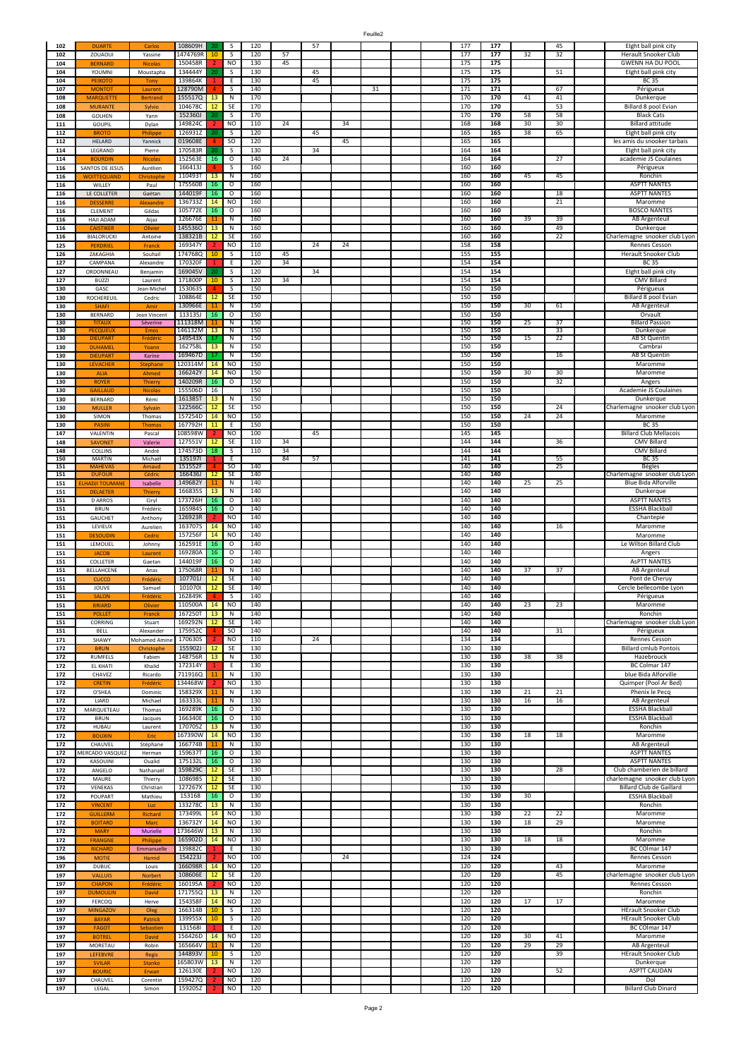| 102        | <b>DUARTE</b>                    | Carlo               | 108609H            | 20 | s                             | 120        |          | 57 |    |    |  | 177        | 177        |    | 45              | Eight ball pink city               |
|------------|----------------------------------|---------------------|--------------------|----|-------------------------------|------------|----------|----|----|----|--|------------|------------|----|-----------------|------------------------------------|
| 102        | ZOUAOUI                          | Yassine             | 1474769R           | 10 | S                             | 120        | 57       |    |    |    |  | 177        | 177        | 32 | 32              | Herault Snooker Club               |
| 104        | <b>BFRNARD</b>                   | <b>Nicola</b>       | 150458R            |    | <b>NO</b>                     | 130        | 45       |    |    |    |  | 175        | 175        |    |                 | <b>GWENN HA DU POOL</b>            |
| 104        | YOUMNI                           | Moustapha           | 134444Y            | 20 | S                             | 130        |          | 45 |    |    |  | 175        | 175        |    | 51              | Eight ball pink city               |
| 104        | <b>PEIXOTO</b>                   | Tony                | 139864K            |    | E                             | 130        |          | 45 |    |    |  | 175        | 175        |    |                 | <b>BC 35</b>                       |
| 107        | <b>MONTOT</b>                    | Laurent             | 128790M            |    | s                             | 140        |          |    |    | 31 |  | 171        | 171        |    | 67              | Périgueux                          |
| 108        | <b>MARQUETTE</b>                 | <b>Bertrand</b>     | 155517Q            | 13 | $\overline{\mathsf{N}}$       | 170        |          |    |    |    |  | 170        | 170        | 41 | 41              | Dunkerque                          |
| 108        | <b>MURANTE</b>                   | Sylvio              | 104678C            | 12 | SE                            | 170        |          |    |    |    |  | 170        | 170        |    | 53              | Billard 8 pool Evian               |
| 108        | GOLHEN                           | Yann                | 152360J            |    | S                             | 170        |          |    |    |    |  | 170        | 170        | 58 | 58              | <b>Black Cats</b>                  |
| 111        | GOUPIL                           | Dylan               | 149824C            |    | <b>NO</b>                     | 110        | 24       |    | 34 |    |  | 168        | 168        | 30 | 30              | <b>Billard attitude</b>            |
| 112        | <b>BROTC</b>                     | Philippe            | 126931Z            | 20 | $\mathsf{s}$                  | 120        |          | 45 |    |    |  | 165        | 165        | 38 | 65              | Eight ball pink city               |
| 112        | HELARD                           | Yannick             | 019608E            |    | <sub>SO</sub>                 | 120        |          |    | 45 |    |  | 165        | 165        |    |                 | les amis du snooker tarbais        |
| 114        | LEGRAND                          | Pierre              | 170583R            |    | S                             | 130        |          | 34 |    |    |  | 164        | 164        |    |                 | Eight ball pink city               |
| 114        | <b>BOURDIN</b>                   | Nicola:             | 152563E            | 16 | $\circ$                       | 140        | 24       |    |    |    |  | 164        | 164        |    | $\overline{27}$ | academie JS Coulaines              |
| 116        | SANTOS DE JESUS                  | Aurélien            | 166413J            |    | $\overline{\mathsf{S}}$       | 160        |          |    |    |    |  | 160        | 160        |    |                 | Périgueux                          |
| 116        | <b>WOITTEQUAND</b>               | Christoph           | 110493T            | 13 | Ν                             | 160        |          |    |    |    |  | 160        | 160        | 45 | 45              | Ronchin                            |
| 116        | WILLEY                           | Paul                | 175560B            | 16 | $\circ$                       | 160        |          |    |    |    |  | 160        | 160        |    |                 | <b>ASPTT NANTES</b>                |
| 116        | LE COLLETER                      | Gaëtan              | 144019F            | 16 | 0                             | 160        |          |    |    |    |  | 160        | 160        |    | 18              | <b>ASPTT NANTES</b>                |
| 116        | <b>DESSERRE</b>                  | Alexandre           | 136733Z            | 14 | <b>NO</b>                     | 160        |          |    |    |    |  | 160        | 160        |    | 21              | Maromme                            |
| 116        | CLEMENT                          | Gildas              | 105772E            | 16 | $\circ$                       | 160        |          |    |    |    |  | 160        | 160        |    |                 | <b>BOSCO NANTES</b>                |
| 116        | HAJI ADAM                        | Aijaz               | 126676E            | 11 | N                             | 160        |          |    |    |    |  | 160        | 160        | 39 | 39              | AB Argenteuil                      |
| 116        | <b>CAISTIKER</b>                 | Olivier             | 1455360            | 13 | $\overline{\mathsf{N}}$       | 160        |          |    |    |    |  | 160        | 160        |    | 49              | Dunkerque                          |
| 116        | BIALORUCKI                       | Antoine             | 138321B            | 12 | SE                            | 160        |          |    |    |    |  | 160        | 160        |    | 22              | Charlemagne snooker club Lyon      |
| 125        | <b>PERDRIE</b>                   | Franck              | 169347Y            |    | N <sub>O</sub>                | 110        |          | 24 | 24 |    |  | 158        | 158        |    |                 | Rennes Cesson                      |
| 126        | ZAKAGHIA                         | Souhail             | 1747680            | 10 | S                             | 110        | 45       |    |    |    |  | 155        | 155        |    |                 | Herault Snooker Club               |
| 127        | CAMPANA                          | Alexandre           | 170320F            |    | Ε                             | 120        | 34       |    |    |    |  | 154        | 154        |    |                 | <b>BC 35</b>                       |
| 127        | ORDONNEAU                        | Benjamin            | 169045V            | 20 | $\overline{\mathsf{s}}$       | 120        |          | 34 |    |    |  | 154        | 154        |    |                 | Eight ball pink city               |
| 127        | <b>BUZZI</b>                     | Laurent             | 171800P            | 10 | S                             | 120        | 34       |    |    |    |  | 154        | 154        |    |                 | CMV Billard                        |
| 130        | GASC                             | Jean-Michel         | 1530635            | 4  | $\mathsf{s}$                  | 150        |          |    |    |    |  | 150        | 150        |    |                 | Périgueux                          |
| 130        | ROCHEREUIL                       | Cedric              | 108864E            | 12 | SE                            | 150        |          |    |    |    |  | 150        | 150        |    |                 | Billard 8 pool Evian               |
| 130        | <b>SHAF</b>                      | Am                  | 130966E            | 11 | $\overline{\mathsf{N}}$       | 150        |          |    |    |    |  | 150        | 150        | 30 | 61              | <b>AB Argenteuil</b>               |
| 130        | BERNARD                          | Jean Vincent        | 113135J            | 16 | $\overline{\mathbf{o}}$       | 150        |          |    |    |    |  | 150        | 150        |    |                 | Orvault                            |
| 130        | <b>TITAUX</b>                    | Séverine            | 111318M            | 11 | $\overline{\mathsf{N}}$       | 150        |          |    |    |    |  | 150        | 150        | 25 | 37              | <b>Billard Passion</b>             |
| 130        | <b>PECQUEUX</b>                  | Emo                 | 146132M            | 13 | $\overline{\mathsf{N}}$       | 150        |          |    |    |    |  | 150        | 150        |    | 33              | Dunkerque                          |
| 130        | <b>DIEUPART</b>                  | Frédéri             | 149543X            |    | N                             | 150        |          |    |    |    |  | 150        | 150        | 15 | 22              | AB St Quentin                      |
| 130        | <b>DUHAMEL</b>                   | Yoann               | 162758L            | 13 | N                             | 150        |          |    |    |    |  | 150        | 150        |    |                 | Cambrai                            |
| 130        | <b>DIEUPART</b>                  | Karine              | 169467D            | 17 | N                             | 150        |          |    |    |    |  | 150        | 150        |    | 16              | AB St Quentin                      |
| 130        | LEVACHER                         | Stephane            | 120314M            | 14 | <b>NO</b>                     | 150        |          |    |    |    |  | 150        | 150        |    |                 | Maromme                            |
| 130        | <b>ALIA</b>                      | Ahmed               | 166242Y            | 14 | <b>NO</b>                     | 150        |          |    |    |    |  | 150        | 150        | 30 | 30              | Maromme                            |
| 130        | <b>ROYER</b>                     | Thierr              | 140209R            | 16 | $\circ$                       | 150        |          |    |    |    |  | 150        | 150        |    | 32              | Angers                             |
| 130        | <b>GAILLAUD</b>                  | <b>Nicolas</b>      | 155506D            | 16 |                               | 150        |          |    |    |    |  | 150        | 150        |    |                 | Academie JS Coulaines              |
| 130        | <b>BERNARD</b>                   | Rémi                | 161385T            | 13 | N                             | 150        |          |    |    |    |  | 150        | 150        |    |                 | Dunkerque                          |
| 130        | <b>MULLER</b>                    | Sylvain             | 122566C            | 12 | SE                            | 150        |          |    |    |    |  | 150        | 150        |    | 24              | Charlemagne snooker club Lyon      |
| 130        | SIMON                            | Thomas              | 157254D            | 14 | <b>NO</b>                     | 150        |          |    |    |    |  | 150        | 150        | 24 | 24              | Maromme                            |
| 130        | <b>PASIN</b>                     | Thoma               | 167792H            | 11 | E                             | 150        |          |    |    |    |  | 150        | 150        |    |                 | <b>BC 35</b>                       |
| 147        | VALENTIN                         | Pascal              | 108598W            |    | <b>NO</b>                     | 100        |          | 45 |    |    |  | 145        | 145        |    |                 | <b>Billard Club Mellacois</b>      |
| 148        | <b>SAVONET</b>                   | Valerie             | 127551V            | 12 | SE                            | 110        | 34       |    |    |    |  | 144        | 144<br>144 |    | 36              | CMV Billard                        |
| 148        | COLLINS<br><b>MARTIN</b>         | André               | 174573D<br>1351971 | 18 | $\overline{\mathsf{S}}$<br>E. | 110        | 34<br>84 | 57 |    |    |  | 144<br>141 | 141        |    | 55              | <b>CMV Billard</b><br><b>BC 35</b> |
| 150<br>151 | <b>MAHEVAS</b>                   | Michaël<br>Arnaud   | 151552F            |    | <sub>SO</sub>                 | 140        |          |    |    |    |  | 140        | 140        |    | 25              | <b>Bègles</b>                      |
| 151        | <b>DUFOUR</b>                    | Cédric              | 166436J            | 12 | <b>SE</b>                     | 140        |          |    |    |    |  | 140        | 140        |    |                 | Charlemagne snooker club Lyon      |
| 151        | <b>ELHADJI TOUMANE</b>           | Isabelle            | 149682Y            | 11 | ${\sf N}$                     | 140        |          |    |    |    |  | 140        | 140        | 25 | 25              | Blue Bida Alforville               |
| 151        | <b>DELAETER</b>                  | Thierry             | 1668355            | 13 | N                             | 140        |          |    |    |    |  | 140        | 140        |    |                 | Dunkerque                          |
| 151        | <b>D ARROS</b>                   | Ciryl               | 173726H            | 16 | $\mathsf{o}$                  | 140        |          |    |    |    |  | 140        | 140        |    |                 | <b>ASPTT NANTES</b>                |
| 151        | <b>BRUN</b>                      | Frédéric            | 165984S            | 16 | $\circ$                       | 140        |          |    |    |    |  | 140        | 140        |    |                 | <b>ESSHA Blackball</b>             |
| 151        | GAUCHET                          | Anthony             | 126923R            |    | <b>NO</b>                     | 140        |          |    |    |    |  | 140        | 140        |    |                 | Chantepie                          |
| 151        | LEVIEUX                          | Aurelien            | 163707S            | 14 | <b>NO</b>                     | 140        |          |    |    |    |  | 140        | 140        |    | 16              | Maromme                            |
| 151        | <b>DESOUDIN</b>                  | Cedric              | 157256F            | 14 | N <sub>O</sub>                | 140        |          |    |    |    |  | 140        | 140        |    |                 | Maromme                            |
| 151        | LEMOUEL                          | Johnny              | 162591E            | 16 | $\mathsf O$                   | 140        |          |    |    |    |  | 140        | 140        |    |                 | Le Wilton Billard Club             |
| 151        | <b>JACOB</b>                     | Laurent             | 169280A            | 16 | $\circ$                       | 140        |          |    |    |    |  | 140        | 140        |    |                 | Angers                             |
| 151        | COLLETER                         | Gaetan              | 144019F            | 16 | $\circ$                       | 140        |          |    |    |    |  | 140        | 140        |    |                 | <b>ASPTT NANTES</b>                |
| 151        | BELLAHCENE                       | Anas                | 175068R            |    | N                             | 140        |          |    |    |    |  | 140        | 140        | 37 | 37              | AB Argenteuil                      |
| 151        | CUCCO                            | Frédéric            | 107701J            | 12 | SE                            | 140        |          |    |    |    |  | 140        | 140        |    |                 | Pont de Cheruy                     |
| 151        | JOUVE                            | Samuel              | 101070             | 12 | SE                            | 140        |          |    |    |    |  | 140        | 140        |    |                 | Cercle bellecombe Lyon             |
| 151        | <b>SALON</b>                     | Frédéric            | 162849K            | 4  | S                             | 140        |          |    |    |    |  | 140        | 140        |    |                 | Périgueux                          |
| 151        | <b>BRIARD</b>                    | Olivier             | 110500A            | 14 | <b>NO</b>                     | 140        |          |    |    |    |  | 140        | 140        | 23 | 23              | Maromme                            |
| 151        | <b>POLLET</b>                    | Franck              | 167250T            | 13 | N                             | 140        |          |    |    |    |  | 140        | 140        |    |                 | Ronchin                            |
| 151        | CORRING                          | Stuart              | 169292N            | 12 | <b>SE</b>                     | 140        |          |    |    |    |  | 140        | 140        |    |                 | Charlemagne snooker club Lyon      |
| 151        | <b>BELL</b>                      | Alexander           | 175952C            | 4  | <b>SO</b>                     | 140        |          |    |    |    |  | 140        | 140        |    | 31              | Périgueux                          |
| 171        | SHAWY                            | <b>Mohamed Amin</b> | 170630S            |    | NO                            | 110        |          | 24 |    |    |  | 134        | 134        |    |                 | Rennes Cesson                      |
| 172        | <b>BRUN</b>                      | Christophe          | 155902J            | 12 | SE                            | 130        |          |    |    |    |  | 130        | 130        |    |                 | <b>Billard cmlub Pontois</b>       |
| 172        | <b>RUMFELS</b>                   | Fabien              | 148756R            | 13 | Ν                             | 130        |          |    |    |    |  | 130        | 130        | 38 | 38              | Hazebrouck                         |
| 172        | EL KHATI                         | Khalid              | 172314Y            |    | Ε                             | 130        |          |    |    |    |  | 130        | 130        |    |                 | BC Colmar 147                      |
| 172        | CHAVEZ                           |                     | 7119160            | 11 | N                             | 130        |          |    |    |    |  | 130        | 130        |    |                 | blue Bida Alforville               |
| 172        | <b>CRETIN</b>                    | Ricardo<br>Frédéric | 134468W            |    | <b>NO</b>                     | 130        |          |    |    |    |  | 130        | 130        |    |                 | Quimper (Pool Ar Bed)              |
| 172        | O'SHEA                           | Dominic             | 158329X            | 11 | ${\sf N}$                     | 130        |          |    |    |    |  | 130        | 130        | 21 | 21              | Phenix le Pecq                     |
| 172        | LIARD                            | Michael             | 163333L            | 11 | N                             | 130        |          |    |    |    |  | 130        | 130        | 16 | 16              | AB Argenteuil                      |
| 172        | MARQUETEAU                       | Thomas              | 169289K            | 16 | $\circ$                       | 130        |          |    |    |    |  | 130        | 130        |    |                 | <b>ESSHA Blackball</b>             |
| 172        | <b>BRUN</b>                      | Jacques             | 166340E            | 16 | $\mathsf O$                   | 130        |          |    |    |    |  | 130        | 130        |    |                 | <b>ESSHA Blackball</b>             |
| 172        | <b>HUBAU</b>                     | Laurent             | 170705Z            | 13 | N                             | 130        |          |    |    |    |  | 130        | 130        |    |                 | Ronchin                            |
| 172        | <b>BOUXIN</b>                    | Eric                | 167390W            | 14 | <b>NO</b>                     | 130        |          |    |    |    |  | 130        | 130        | 18 | 18              | Maromme                            |
| 172        | CHAUVEL                          | Stéphane            | 166774B            | 11 | N                             | 130        |          |    |    |    |  | 130        | 130        |    |                 | <b>AB Argenteuil</b>               |
| 172        | MERCADO VASQUEZ                  | Herman              | 159637T            | 16 | $\overline{\circ}$            | 130        |          |    |    |    |  | 130        | 130        |    |                 | <b>ASPTT NANTES</b>                |
| 172        | KASOUINI                         | Oualid              | 1751321            | 16 | $\circ$                       | 130        |          |    |    |    |  | 130        | 130        |    |                 | <b>ASPTT NANTES</b>                |
| 172        | ANGELO                           | Nathanaël           | 159829C            | 12 | SE                            | 130        |          |    |    |    |  | 130        | 130        |    | 28              | Club chamberien de billard         |
| 172        | MAURE                            | Thierry             | 108698S            | 12 | SE                            | 130        |          |    |    |    |  | 130        | 130        |    |                 | charlemagne snooker club Lyon      |
| 172        | VENEKAS                          | Christian           | 127267X            | 12 | SE                            | 130        |          |    |    |    |  | 130        | 130        |    |                 | Billard Club de Gaillard           |
| 172        | POUPART                          | Mathieu             | 153168             | 16 | 0                             | 130        |          |    |    |    |  | 130        | 130        | 30 |                 | <b>ESSHA Blackball</b>             |
| 172        | <b>VINCENT</b>                   | Luc                 | 133278C            | 13 | $\overline{N}$                | 130        |          |    |    |    |  | 130        | 130        |    |                 | Ronchin                            |
| 172        | <b>GUILLERM</b>                  | Richard             | 173499L            | 14 | <b>NO</b>                     | 130        |          |    |    |    |  | 130        | 130        | 22 | 22              | Maromme                            |
| 172        | <b>BOITARD</b>                   | Marc                | 136732Y            | 14 | <b>NO</b>                     | 130        |          |    |    |    |  | 130        | 130        | 18 | 29              | Maromme                            |
| 172        | <b>MARY</b>                      | Murielle            | 173646W            | 13 | $\mathsf{N}$                  | 130        |          |    |    |    |  | 130        | 130        |    |                 | Ronchin                            |
| 172        | <b>FRANGNE</b>                   | Philippe            | 165902D            | 14 | <b>NO</b>                     | 130        |          |    |    |    |  | 130        | 130        | 18 | 18              | Maromme                            |
| 172        | <b>RICHARD</b>                   | Emmanuelle          | 139882C            |    | Ε                             | 130        |          |    |    |    |  | 130        | 130        |    |                 | BC COlmar 147                      |
| 196        | <b>MOTIE</b>                     | Hamid               | 154223J            |    | <b>NO</b>                     | 100        |          |    | 24 |    |  | 124        | 124        |    |                 | Rennes Cesson                      |
| 197        | <b>DUBUC</b>                     | Louis               | 166098R            | 14 | <b>NO</b>                     | 120        |          |    |    |    |  | 120        | 120        |    | 43              | Maromme                            |
| 197        | <b>VALLUIS</b>                   | Norbert             | 108606E            | 12 | SE                            | 120        |          |    |    |    |  | 120        | 120        |    | 45              | charlemagne snooker club Lyon      |
| 197        |                                  |                     | 160195A            |    | <b>NO</b>                     | 120        |          |    |    |    |  | 120        | 120        |    |                 | Rennes Cesson                      |
| 197        | <b>CHAPON</b><br><b>DUMOULIN</b> | Frédéric<br>David   | 171755Q            | 13 | N                             | 120        |          |    |    |    |  | 120        | 120        |    |                 | Ronchin                            |
| 197        | <b>FERCOQ</b>                    | Herve               | 154358F            | 14 | <b>NO</b>                     | 120        |          |    |    |    |  | 120        | 120        | 17 | 17              | Maromme                            |
| 197        | <b>MINGAZOV</b>                  |                     | 166314B            | 10 | s                             | 120        |          |    |    |    |  | 120        | 120        |    |                 | <b>HErault Snooker Club</b>        |
| 197        | <b>BAYAR</b>                     | Oleg<br>Patrick     | 139955X            | 10 | S                             | 120        |          |    |    |    |  | 120        | 120        |    |                 | <b>HErault Snooker Club</b>        |
| 197        |                                  |                     | 1315681            | 1  | Ε                             | 120        |          |    |    |    |  | 120        | 120        |    |                 | BC COlmar 147                      |
|            |                                  | Sebastien           |                    | 14 | <b>NO</b>                     | 120        |          |    |    |    |  | 120        | 120        | 30 | 41              | Maromme                            |
|            | <b>FAGOT</b>                     |                     |                    |    |                               |            |          |    |    |    |  |            |            |    |                 |                                    |
| 197        | <b>BOTREL</b>                    | David               | 156426D            |    |                               |            |          |    |    |    |  |            |            |    |                 |                                    |
| 197        | MORETAU                          | Robin               | 165664V            | 11 | N                             | 120        |          |    |    |    |  | 120        | 120        | 29 | 29              | AB Argenteuil                      |
| 197        | LEFEBVRE                         | <b>Regis</b>        | 144893V            | 10 | S                             | 120        |          |    |    |    |  | 120        | 120        |    | 39              | <b>HErault Snooker Club</b>        |
| 197        | <b>SVILAR</b>                    | <b>Stanko</b>       | 165803W            | 13 | N                             | 120        |          |    |    |    |  | 120        | 120        |    |                 | Dunkerque                          |
| 197        | <b>BOURIC</b>                    | Erwan               | 126130E            |    | <b>NO</b>                     | 120        |          |    |    |    |  | 120        | 120        |    | 52              | <b>ASPTT CAUDAN</b>                |
| 197<br>197 | CHAUVEL<br>LEGAL                 | Corentin<br>Simon   | 159427Q<br>159205Z | 2  | <b>NO</b><br><b>NO</b>        | 120<br>120 |          |    |    |    |  | 120<br>120 | 120<br>120 |    |                 | Dol<br><b>Billard Club Dinard</b>  |

Feuille2